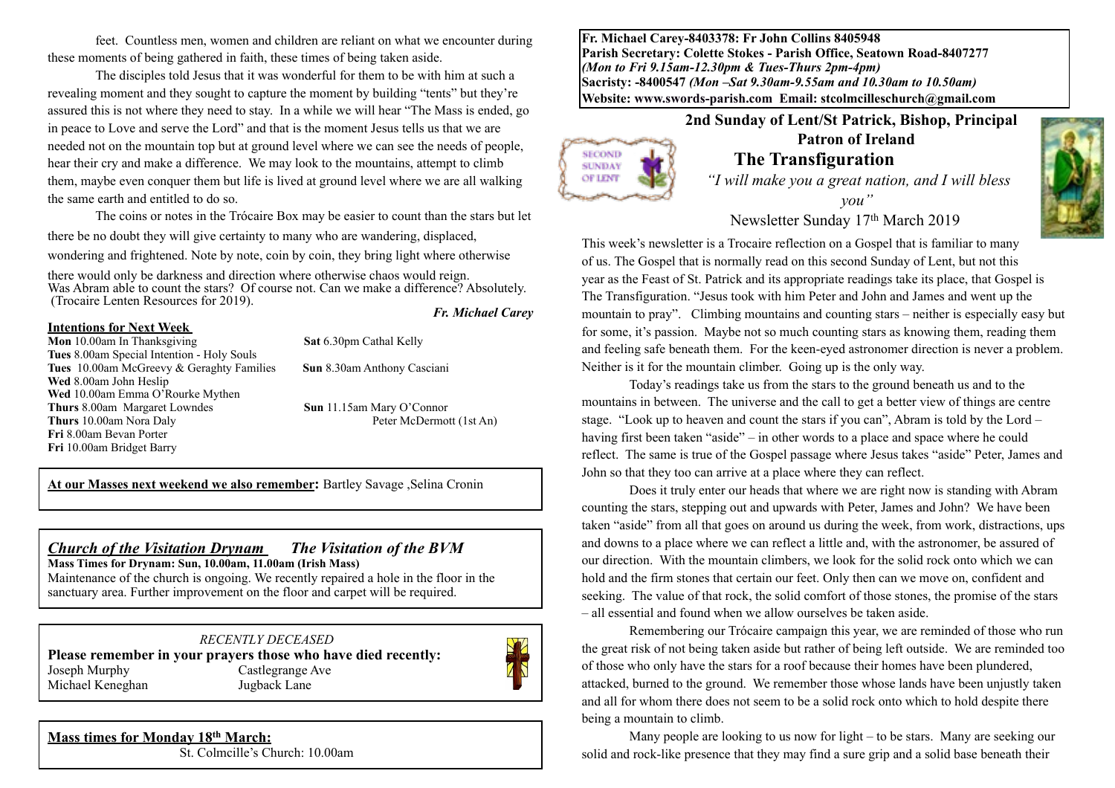feet. Countless men, women and children are reliant on what we encounter during these moments of being gathered in faith, these times of being taken aside.

The disciples told Jesus that it was wonderful for them to be with him at such a revealing moment and they sought to capture the moment by building "tents" but they're assured this is not where they need to stay. In a while we will hear "The Mass is ended, go in peace to Love and serve the Lord" and that is the moment Jesus tells us that we are needed not on the mountain top but at ground level where we can see the needs of people, hear their cry and make a difference. We may look to the mountains, attempt to climb them, maybe even conquer them but life is lived at ground level where we are all walking the same earth and entitled to do so.

The coins or notes in the Trócaire Box may be easier to count than the stars but let there be no doubt they will give certainty to many who are wandering, displaced, wondering and frightened. Note by note, coin by coin, they bring light where otherwise

there would only be darkness and direction where otherwise chaos would reign. Was Abram able to count the stars? Of course not. Can we make a difference? Absolutely. (Trocaire Lenten Resources for 2019). *Fr. Michael Carey*

### **Intentions for Next Week**

 $\overline{a}$ 

**Mon** 10.00am In Thanksgiving **Sat** 6.30pm Cathal Kelly **Tues** 8.00am Special Intention - Holy Souls **Tues** 10.00am McGreevy & Geraghty Families **Sun** 8.30am Anthony Casciani **Wed** 8.00am John Heslip Wed 10.00am Emma O'Rourke Mythen **Thurs 8.00am Margaret Lowndes Sun 11.15am Mary O'Connor**<br>**Thurs 10.00am Nora Daly Peter McDermott (1st An) Thurs** 10.00am Nora Daly **Fri** 8.00am Bevan Porter **Fri** 10.00am Bridget Barry

**At our Masses next weekend we also remember:** Bartley Savage ,Selina Cronin

## *Church of the Visitation Drynam**The Visitation of the BVM* **Mass Times for Drynam: Sun, 10.00am, 11.00am (Irish Mass)**

Maintenance of the church is ongoing. We recently repaired a hole in the floor in the sanctuary area. Further improvement on the floor and carpet will be required.

### *RECENTLY DECEASED*

**Please remember in your prayers those who have died recently:** Joseph Murphy Castlegrange Ave Michael Keneghan Jugback Lane



**SECOND SUNDAY OF LENT** 

## **Mass times for Monday 18th March:**

St. Colmcille's Church: 10.00am

**Fr. Michael Carey-8403378: Fr John Collins 8405948 Parish Secretary: Colette Stokes - Parish Office, Seatown Road-8407277**  *(Mon to Fri 9.15am-12.30pm & Tues-Thurs 2pm-4pm)*  **Sacristy: -8400547** *(Mon –Sat 9.30am-9.55am and 10.30am to 10.50am)* **Website: [www.swords-parish.com Email:](http://www.swords-parish.com%20%20email) stcolmcilleschurch@gmail.com**

**2nd Sunday of Lent/St Patrick, Bishop, Principal** 

# **Patron of Ireland The Transfiguration**

*"I will make you a great nation, and I will bless you"* 

Newsletter Sunday 17th March 2019

This week's newsletter is a Trocaire reflection on a Gospel that is familiar to many of us. The Gospel that is normally read on this second Sunday of Lent, but not this year as the Feast of St. Patrick and its appropriate readings take its place, that Gospel is The Transfiguration. "Jesus took with him Peter and John and James and went up the mountain to pray". Climbing mountains and counting stars – neither is especially easy but for some, it's passion. Maybe not so much counting stars as knowing them, reading them and feeling safe beneath them. For the keen-eyed astronomer direction is never a problem. Neither is it for the mountain climber. Going up is the only way.

Today's readings take us from the stars to the ground beneath us and to the mountains in between. The universe and the call to get a better view of things are centre stage. "Look up to heaven and count the stars if you can", Abram is told by the Lord – having first been taken "aside" – in other words to a place and space where he could reflect. The same is true of the Gospel passage where Jesus takes "aside" Peter, James and John so that they too can arrive at a place where they can reflect.

Does it truly enter our heads that where we are right now is standing with Abram counting the stars, stepping out and upwards with Peter, James and John? We have been taken "aside" from all that goes on around us during the week, from work, distractions, ups and downs to a place where we can reflect a little and, with the astronomer, be assured of our direction. With the mountain climbers, we look for the solid rock onto which we can hold and the firm stones that certain our feet. Only then can we move on, confident and seeking. The value of that rock, the solid comfort of those stones, the promise of the stars – all essential and found when we allow ourselves be taken aside.

Remembering our Trócaire campaign this year, we are reminded of those who run the great risk of not being taken aside but rather of being left outside. We are reminded too of those who only have the stars for a roof because their homes have been plundered, attacked, burned to the ground. We remember those whose lands have been unjustly taken and all for whom there does not seem to be a solid rock onto which to hold despite there being a mountain to climb.

Many people are looking to us now for light – to be stars. Many are seeking our solid and rock-like presence that they may find a sure grip and a solid base beneath their